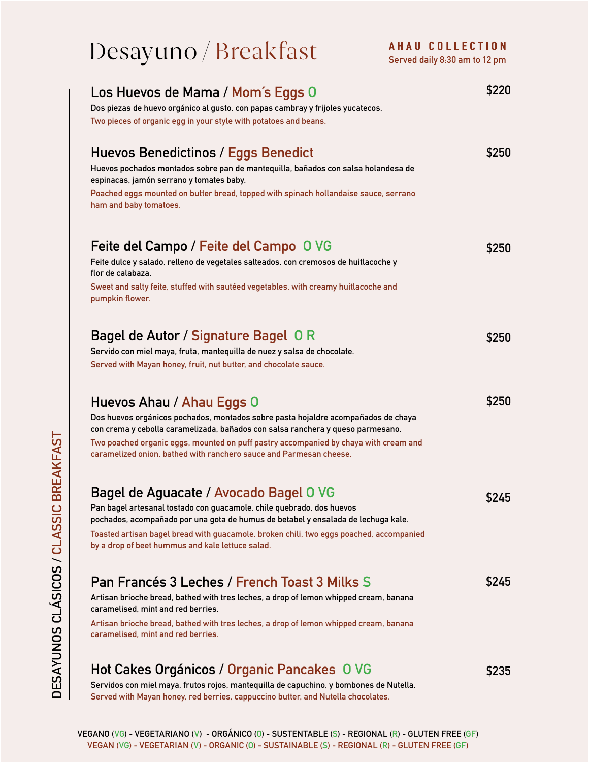## Desayuno / Breakfast **Served daily 8:30 am to 12 pm**

| Los Huevos de Mama / Mom's Eggs 0<br>Dos piezas de huevo orgánico al gusto, con papas cambray y frijoles yucatecos.<br>Two pieces of organic egg in your style with potatoes and beans.                                                                                                                                                                         | \$220 |
|-----------------------------------------------------------------------------------------------------------------------------------------------------------------------------------------------------------------------------------------------------------------------------------------------------------------------------------------------------------------|-------|
| Huevos Benedictinos / Eggs Benedict<br>Huevos pochados montados sobre pan de mantequilla, bañados con salsa holandesa de<br>espinacas, jamón serrano y tomates baby.<br>Poached eggs mounted on butter bread, topped with spinach hollandaise sauce, serrano<br>ham and baby tomatoes.                                                                          | \$250 |
| Feite del Campo / Feite del Campo O VG<br>Feite dulce y salado, relleno de vegetales salteados, con cremosos de huitlacoche y<br>flor de calabaza.<br>Sweet and salty feite, stuffed with sautéed vegetables, with creamy huitlacoche and<br>pumpkin flower.                                                                                                    | \$250 |
| Bagel de Autor / Signature Bagel 0 R<br>Servido con miel maya, fruta, mantequilla de nuez y salsa de chocolate.<br>Served with Mayan honey, fruit, nut butter, and chocolate sauce.                                                                                                                                                                             | \$250 |
| Huevos Ahau / Ahau Eggs 0<br>Dos huevos orgánicos pochados, montados sobre pasta hojaldre acompañados de chaya<br>con crema y cebolla caramelizada, bañados con salsa ranchera y queso parmesano.<br>Two poached organic eggs, mounted on puff pastry accompanied by chaya with cream and<br>caramelized onion, bathed with ranchero sauce and Parmesan cheese. | \$250 |
| Bagel de Aguacate / Avocado Bagel O VG<br>Pan bagel artesanal tostado con guacamole, chile quebrado, dos huevos<br>pochados, acompañado por una gota de humus de betabel y ensalada de lechuga kale.<br>Toasted artisan bagel bread with guacamole, broken chili, two eggs poached, accompanied<br>by a drop of beet hummus and kale lettuce salad.             | \$245 |
| Pan Francés 3 Leches / French Toast 3 Milks S<br>Artisan brioche bread, bathed with tres leches, a drop of lemon whipped cream, banana<br>caramelised, mint and red berries.<br>Artisan brioche bread, bathed with tres leches, a drop of lemon whipped cream, banana<br>caramelised, mint and red berries.                                                     | \$245 |
| Hot Cakes Orgánicos / Organic Pancakes O VG<br>Servidos con miel maya, frutos rojos, mantequilla de capuchino, y bombones de Nutella.<br>Served with Mayan honey, red berries, cappuccino butter, and Nutella chocolates.                                                                                                                                       | \$235 |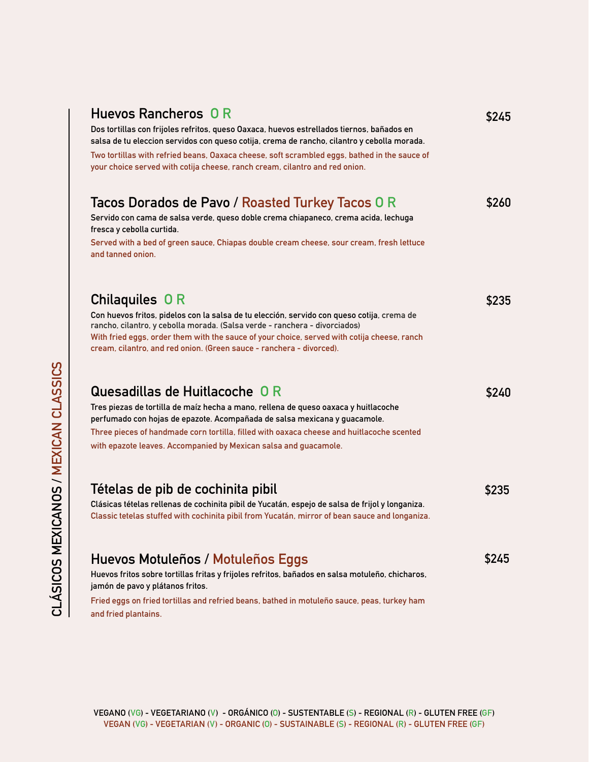| Huevos Rancheros 0 R<br>Dos tortillas con frijoles refritos, queso Oaxaca, huevos estrellados tiernos, bañados en<br>salsa de tu eleccion servidos con queso cotija, crema de rancho, cilantro y cebolla morada.<br>Two tortillas with refried beans, Oaxaca cheese, soft scrambled eggs, bathed in the sauce of<br>your choice served with cotija cheese, ranch cream, cilantro and red onion. | \$245 |
|-------------------------------------------------------------------------------------------------------------------------------------------------------------------------------------------------------------------------------------------------------------------------------------------------------------------------------------------------------------------------------------------------|-------|
| Tacos Dorados de Pavo / Roasted Turkey Tacos 0 R<br>Servido con cama de salsa verde, queso doble crema chiapaneco, crema acida, lechuga<br>fresca y cebolla curtida.<br>Served with a bed of green sauce, Chiapas double cream cheese, sour cream, fresh lettuce<br>and tanned onion.                                                                                                           | \$260 |
| Chilaquiles OR<br>Con huevos fritos, pidelos con la salsa de tu elección, servido con queso cotija, crema de<br>rancho, cilantro, y cebolla morada. (Salsa verde - ranchera - divorciados)<br>With fried eggs, order them with the sauce of your choice, served with cotija cheese, ranch<br>cream, cilantro, and red onion. (Green sauce - ranchera - divorced).                               | \$235 |
| Quesadillas de Huitlacoche O R<br>Tres piezas de tortilla de maíz hecha a mano, rellena de queso oaxaca y huitlacoche<br>perfumado con hojas de epazote. Acompañada de salsa mexicana y guacamole.<br>Three pieces of handmade corn tortilla, filled with oaxaca cheese and huitlacoche scented<br>with epazote leaves. Accompanied by Mexican salsa and guacamole.                             | \$240 |
| Tételas de pib de cochinita pibil<br>Clásicas tételas rellenas de cochinita pibil de Yucatán, espejo de salsa de frijol y longaniza.<br>Classic tetelas stuffed with cochinita pibil from Yucatán, mirror of bean sauce and longaniza.                                                                                                                                                          | \$235 |
| Huevos Motuleños / Motuleños Eggs<br>Huevos fritos sobre tortillas fritas y frijoles refritos, bañados en salsa motuleño, chicharos,<br>jamón de pavo y plátanos fritos.<br>Fried eggs on fried tortillas and refried beans, bathed in motuleño sauce, peas, turkey ham<br>and fried plantains.                                                                                                 | \$245 |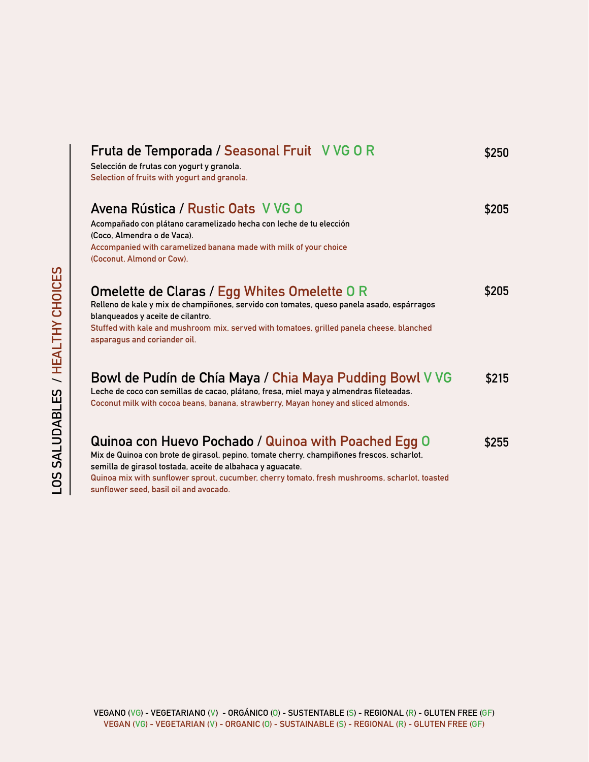| Fruta de Temporada / Seasonal Fruit V VG 0 R<br>Selección de frutas con yogurt y granola.<br>Selection of fruits with yogurt and granola.                                                                                                                                                                                                                  | \$250 |
|------------------------------------------------------------------------------------------------------------------------------------------------------------------------------------------------------------------------------------------------------------------------------------------------------------------------------------------------------------|-------|
| Avena Rústica / Rustic Oats V VG O<br>Acompañado con plátano caramelizado hecha con leche de tu elección<br>(Coco, Almendra o de Vaca).<br>Accompanied with caramelized banana made with milk of your choice<br>(Coconut, Almond or Cow).                                                                                                                  | \$205 |
| Omelette de Claras / Egg Whites Omelette O R<br>Relleno de kale y mix de champiñones, servido con tomates, queso panela asado, espárragos<br>blanqueados y aceite de cilantro.<br>Stuffed with kale and mushroom mix, served with tomatoes, grilled panela cheese, blanched<br>asparagus and coriander oil.                                                | \$205 |
| Bowl de Pudín de Chía Maya / Chia Maya Pudding Bowl V VG<br>Leche de coco con semillas de cacao, plátano, fresa, miel maya y almendras fileteadas.<br>Coconut milk with cocoa beans, banana, strawberry, Mayan honey and sliced almonds.                                                                                                                   | \$215 |
| Quinoa con Huevo Pochado / Quinoa with Poached Egg O<br>Mix de Quinoa con brote de girasol, pepino, tomate cherry, champiñones frescos, scharlot,<br>semilla de girasol tostada, aceite de albahaca y aguacate.<br>Quinoa mix with sunflower sprout, cucumber, cherry tomato, fresh mushrooms, scharlot, toasted<br>sunflower seed, basil oil and avocado. | \$255 |